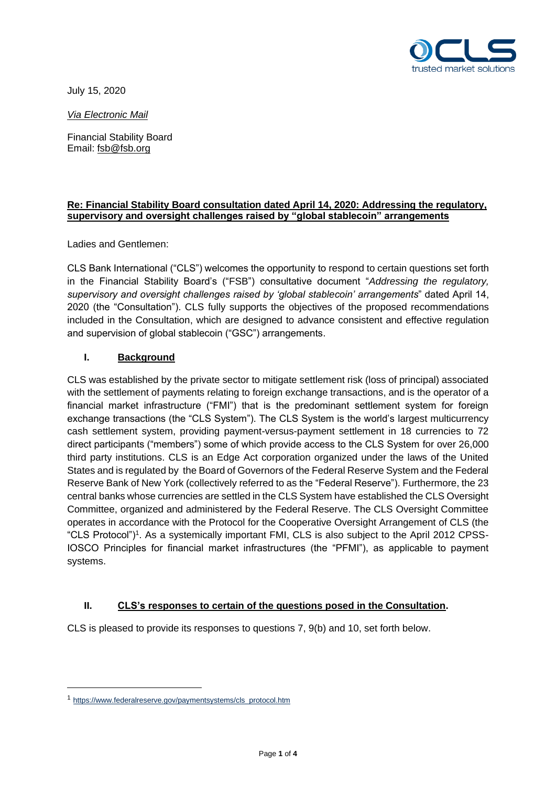

July 15, 2020

*Via Electronic Mail*

Financial Stability Board Email: [fsb@fsb.org](mailto:fsb@fsb.org)

# **Re: Financial Stability Board consultation dated April 14, 2020: Addressing the regulatory, supervisory and oversight challenges raised by "global stablecoin" arrangements**

Ladies and Gentlemen:

CLS Bank International ("CLS") welcomes the opportunity to respond to certain questions set forth in the Financial Stability Board's ("FSB") consultative document "*Addressing the regulatory, supervisory and oversight challenges raised by 'global stablecoin' arrangements*" dated April 14, 2020 (the "Consultation"). CLS fully supports the objectives of the proposed recommendations included in the Consultation, which are designed to advance consistent and effective regulation and supervision of global stablecoin ("GSC") arrangements.

# **I. Background**

CLS was established by the private sector to mitigate settlement risk (loss of principal) associated with the settlement of payments relating to foreign exchange transactions, and is the operator of a financial market infrastructure ("FMI") that is the predominant settlement system for foreign exchange transactions (the "CLS System"). The CLS System is the world's largest multicurrency cash settlement system, providing payment-versus-payment settlement in 18 currencies to 72 direct participants ("members") some of which provide access to the CLS System for over 26,000 third party institutions. CLS is an Edge Act corporation organized under the laws of the United States and is regulated by the Board of Governors of the Federal Reserve System and the Federal Reserve Bank of New York (collectively referred to as the "Federal Reserve"). Furthermore, the 23 central banks whose currencies are settled in the CLS System have established the CLS Oversight Committee, organized and administered by the Federal Reserve. The CLS Oversight Committee operates in accordance with the Protocol for the Cooperative Oversight Arrangement of CLS (the "CLS Protocol")<sup>1</sup>. As a systemically important FMI, CLS is also subject to the April 2012 CPSS-IOSCO Principles for financial market infrastructures (the "PFMI"), as applicable to payment systems.

# **II. CLS's responses to certain of the questions posed in the Consultation.**

CLS is pleased to provide its responses to questions 7, 9(b) and 10, set forth below.

<sup>1</sup> [https://www.federalreserve.gov/paymentsystems/cls\\_protocol.htm](https://www.federalreserve.gov/paymentsystems/cls_protocol.htm)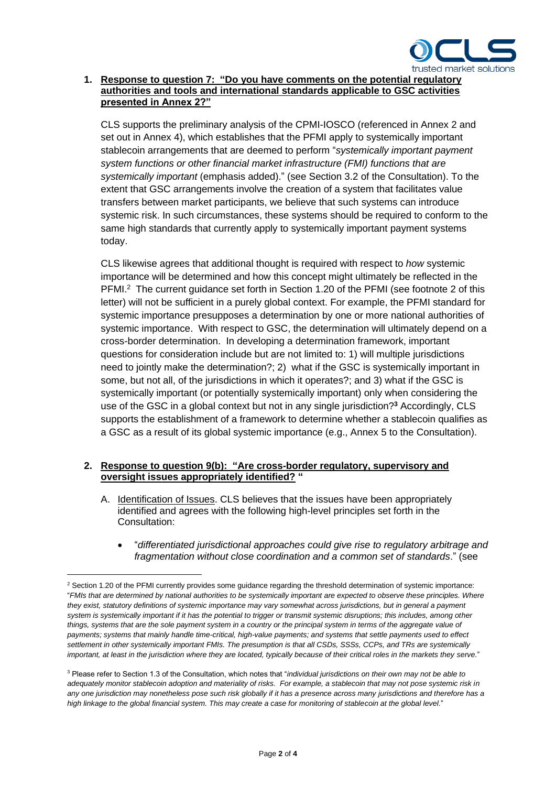

### **1. Response to question 7: "Do you have comments on the potential regulatory authorities and tools and international standards applicable to GSC activities presented in Annex 2?"**

CLS supports the preliminary analysis of the CPMI-IOSCO (referenced in Annex 2 and set out in Annex 4), which establishes that the PFMI apply to systemically important stablecoin arrangements that are deemed to perform "*systemically important payment system functions or other financial market infrastructure (FMI) functions that are systemically important* (emphasis added)." (see Section 3.2 of the Consultation). To the extent that GSC arrangements involve the creation of a system that facilitates value transfers between market participants, we believe that such systems can introduce systemic risk. In such circumstances, these systems should be required to conform to the same high standards that currently apply to systemically important payment systems today.

CLS likewise agrees that additional thought is required with respect to *how* systemic importance will be determined and how this concept might ultimately be reflected in the PFMI.<sup>2</sup> The current guidance set forth in Section 1.20 of the PFMI (see footnote 2 of this letter) will not be sufficient in a purely global context. For example, the PFMI standard for systemic importance presupposes a determination by one or more national authorities of systemic importance. With respect to GSC, the determination will ultimately depend on a cross-border determination. In developing a determination framework, important questions for consideration include but are not limited to: 1) will multiple jurisdictions need to jointly make the determination?; 2) what if the GSC is systemically important in some, but not all, of the jurisdictions in which it operates?; and 3) what if the GSC is systemically important (or potentially systemically important) only when considering the use of the GSC in a global context but not in any single jurisdiction?**<sup>3</sup>** Accordingly, CLS supports the establishment of a framework to determine whether a stablecoin qualifies as a GSC as a result of its global systemic importance (e.g., Annex 5 to the Consultation).

#### **2. Response to question 9(b): "Are cross-border regulatory, supervisory and oversight issues appropriately identified? "**

- A. Identification of Issues. CLS believes that the issues have been appropriately identified and agrees with the following high-level principles set forth in the Consultation:
	- "*differentiated jurisdictional approaches could give rise to regulatory arbitrage and fragmentation without close coordination and a common set of standards*." (see

<sup>&</sup>lt;sup>2</sup> Section 1.20 of the PFMI currently provides some guidance regarding the threshold determination of systemic importance: "*FMIs that are determined by national authorities to be systemically important are expected to observe these principles. Where they exist, statutory definitions of systemic importance may vary somewhat across jurisdictions, but in general a payment system is systemically important if it has the potential to trigger or transmit systemic disruptions; this includes, among other things, systems that are the sole payment system in a country or the principal system in terms of the aggregate value of payments; systems that mainly handle time-critical, high-value payments; and systems that settle payments used to effect settlement in other systemically important FMIs. The presumption is that all CSDs, SSSs, CCPs, and TRs are systemically*  important, at least in the jurisdiction where they are located, typically because of their critical roles in the markets they serve."

<sup>3</sup> Please refer to Section 1.3 of the Consultation, which notes that "*individual jurisdictions on their own may not be able to adequately monitor stablecoin adoption and materiality of risks. For example, a stablecoin that may not pose systemic risk in any one jurisdiction may nonetheless pose such risk globally if it has a presence across many jurisdictions and therefore has a high linkage to the global financial system. This may create a case for monitoring of stablecoin at the global level*."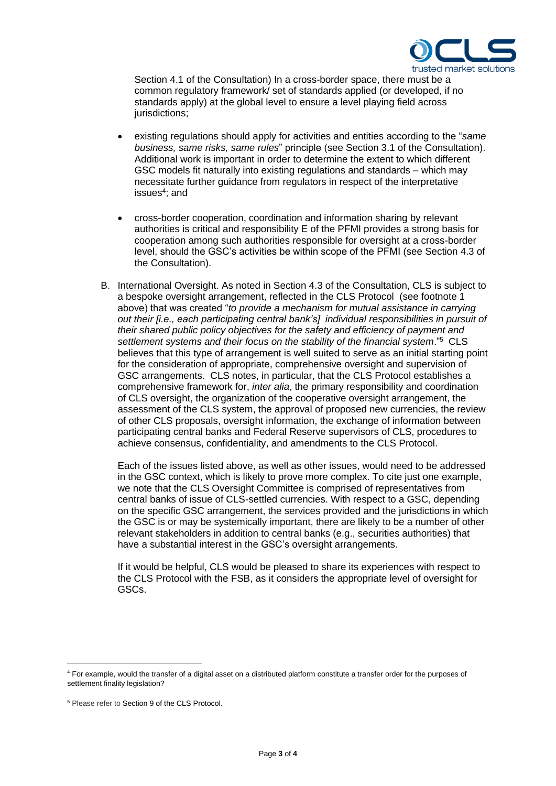

Section 4.1 of the Consultation) In a cross-border space, there must be a common regulatory framework/ set of standards applied (or developed, if no standards apply) at the global level to ensure a level playing field across jurisdictions;

- existing regulations should apply for activities and entities according to the "*same business, same risks, same rules*" principle (see Section 3.1 of the Consultation). Additional work is important in order to determine the extent to which different GSC models fit naturally into existing regulations and standards – which may necessitate further guidance from regulators in respect of the interpretative issues<sup>4</sup>; and
- cross-border cooperation, coordination and information sharing by relevant authorities is critical and responsibility E of the PFMI provides a strong basis for cooperation among such authorities responsible for oversight at a cross-border level, should the GSC's activities be within scope of the PFMI (see Section 4.3 of the Consultation).
- B. International Oversight. As noted in Section 4.3 of the Consultation, CLS is subject to a bespoke oversight arrangement, reflected in the CLS Protocol (see footnote 1 above) that was created "*to provide a mechanism for mutual assistance in carrying out their [i.e., each participating central bank's] individual responsibilities in pursuit of their shared public policy objectives for the safety and efficiency of payment and settlement systems and their focus on the stability of the financial system*."<sup>5</sup> CLS believes that this type of arrangement is well suited to serve as an initial starting point for the consideration of appropriate, comprehensive oversight and supervision of GSC arrangements. CLS notes, in particular, that the CLS Protocol establishes a comprehensive framework for, *inter alia*, the [primary responsibility and coordination](https://www.federalreserve.gov/paymentsystems/cls_protocol.htm#primaryResponsibility)  [of CLS oversight,](https://www.federalreserve.gov/paymentsystems/cls_protocol.htm#primaryResponsibility) the [organization of the cooperative oversight arrangement,](https://www.federalreserve.gov/paymentsystems/cls_protocol.htm#organizationOversight) the [assessment of the](https://www.federalreserve.gov/paymentsystems/cls_protocol.htm#assessmentSystem) CLS system, the [approval of proposed new currencies,](https://www.federalreserve.gov/paymentsystems/cls_protocol.htm#approvalCurrencies) the [review](https://www.federalreserve.gov/paymentsystems/cls_protocol.htm#reviewProposals)  [of other CLS proposals,](https://www.federalreserve.gov/paymentsystems/cls_protocol.htm#reviewProposals) [oversight information,](https://www.federalreserve.gov/paymentsystems/cls_protocol.htm#oversightInformation) the [exchange of information between](https://www.federalreserve.gov/paymentsystems/cls_protocol.htm#exchangeInformation)  [participating central banks and Federal Reserve supervisors of CLS,](https://www.federalreserve.gov/paymentsystems/cls_protocol.htm#exchangeInformation) [procedures to](https://www.federalreserve.gov/paymentsystems/cls_protocol.htm#concensusProcedures)  [achieve consensus,](https://www.federalreserve.gov/paymentsystems/cls_protocol.htm#concensusProcedures) [confidentiality,](https://www.federalreserve.gov/paymentsystems/cls_protocol.htm#confidentiality) and [amendments to the CLS Protocol.](https://www.federalreserve.gov/paymentsystems/cls_protocol.htm#amendmentsProtocol)

Each of the issues listed above, as well as other issues, would need to be addressed in the GSC context, which is likely to prove more complex. To cite just one example, we note that the CLS Oversight Committee is comprised of representatives from central banks of issue of CLS-settled currencies. With respect to a GSC, depending on the specific GSC arrangement, the services provided and the jurisdictions in which the GSC is or may be systemically important, there are likely to be a number of other relevant stakeholders in addition to central banks (e.g., securities authorities) that have a substantial interest in the GSC's oversight arrangements.

If it would be helpful, CLS would be pleased to share its experiences with respect to the CLS Protocol with the FSB, as it considers the appropriate level of oversight for GSCs.

<sup>4</sup> For example, would the transfer of a digital asset on a distributed platform constitute a transfer order for the purposes of settlement finality legislation?

<sup>5</sup> Please refer to Section 9 of the CLS Protocol.